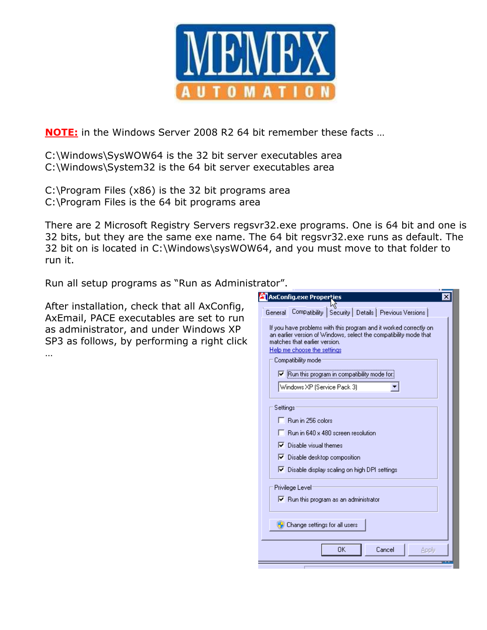

NOTE: in the Windows Server 2008 R2 64 bit remember these facts ...

C:\Windows\SysWOW64 is the 32 bit server executables area C:\Windows\System32 is the 64 bit server executables area

C:\Program Files (x86) is the 32 bit programs area C:\Program Files is the 64 bit programs area

There are 2 Microsoft Registry Servers regsvr32.exe programs. One is 64 bit and one is 32 bits, but they are the same exe name. The 64 bit regsvr32.exe runs as default. The 32 bit on is located in C:\Windows\sysWOW64, and you must move to that folder to run it.

Run all setup programs as "Run as Administrator".

After installation, check that all AxConfig, AxEmail, PACE executables are set to run as administrator, and under Windows XP SP3 as follows, by performing a right click …

| <b>A</b> AxConfig.exe Properties                                                                                                                                                                       | × |
|--------------------------------------------------------------------------------------------------------------------------------------------------------------------------------------------------------|---|
| Compatibility   Security   Details   Previous Versions  <br>General                                                                                                                                    |   |
| If you have problems with this program and it worked correctly on<br>an earlier version of Windows, select the compatibility mode that<br>matches that earlier version.<br>Help me choose the settings |   |
| Compatibility mode                                                                                                                                                                                     |   |
| Ⅳ Run this program in compatibility mode for:                                                                                                                                                          |   |
| Windows XP (Service Pack 3)                                                                                                                                                                            |   |
| Settings                                                                                                                                                                                               |   |
| $\overline{\phantom{a}}$ Run in 256 colors                                                                                                                                                             |   |
| Run in 640 x 480 screen resolution                                                                                                                                                                     |   |
| $\nabla$ Disable visual themes                                                                                                                                                                         |   |
| Ⅳ Disable desktop composition                                                                                                                                                                          |   |
| Ⅳ Disable display scaling on high DPI settings                                                                                                                                                         |   |
| Privilege Level                                                                                                                                                                                        |   |
| $\triangleright$ Run this program as an administrator                                                                                                                                                  |   |
|                                                                                                                                                                                                        |   |
| <b>A</b> Change settings for all users                                                                                                                                                                 |   |
|                                                                                                                                                                                                        |   |
| 0K<br>Cancel<br>Apply                                                                                                                                                                                  |   |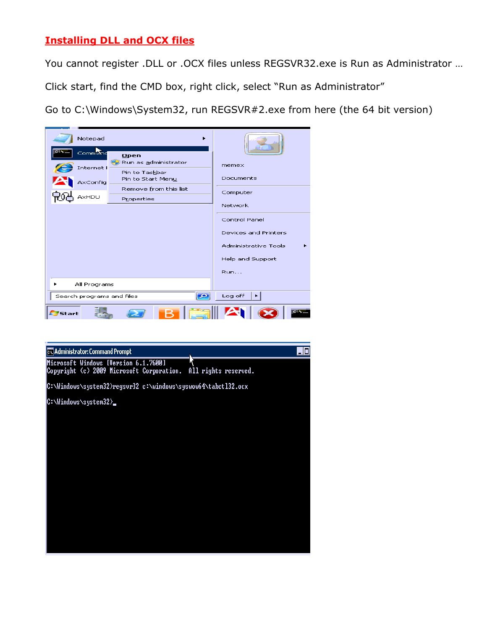# Installing DLL and OCX files

You cannot register .DLL or .OCX files unless REGSVR32.exe is Run as Administrator …

Click start, find the CMD box, right click, select "Run as Administrator"

Go to C:\Windows\System32, run REGSVR#2.exe from here (the 64 bit version)



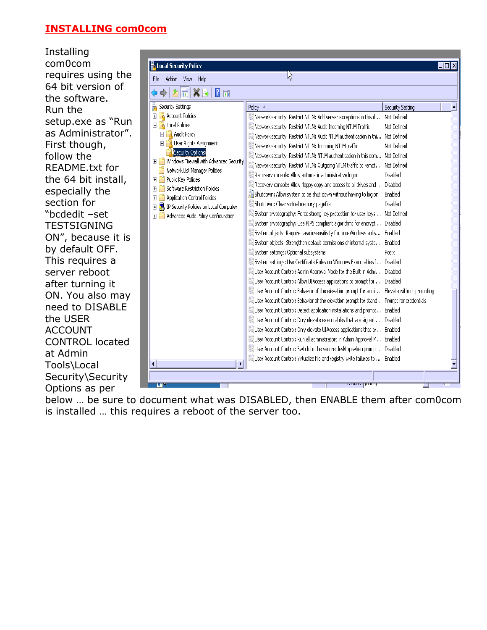#### INSTALLING com0com

Installing com0com requires using the 64 bit version of the software. Run the setup.exe as "Run as Administrator". First though, follow the README.txt for the 64 bit install, especially the section for "bcdedit –set **TESTSIGNING** ON", because it is by default OFF. This requires a server reboot after turning it ON. You also may need to DISABLE the USER ACCOUNT CONTROL located at Admin Tools\Local Security\Security Options as per

| Action<br>View<br>Help<br>File                                                                                                                                                                                                                                                                                                                                                                                  | N,                                                                                                                                                                                                                                                                                                                                                                                                                                                                                                                                                                                                                                                                                                                                                                                                                                                                                                                                                                                                                                                                                                                                                                                                                                                                                                                                                                                                                                                                                                                                                                                                                                                                                                                                                                                |                                                                                                                                                                                                   |  |
|-----------------------------------------------------------------------------------------------------------------------------------------------------------------------------------------------------------------------------------------------------------------------------------------------------------------------------------------------------------------------------------------------------------------|-----------------------------------------------------------------------------------------------------------------------------------------------------------------------------------------------------------------------------------------------------------------------------------------------------------------------------------------------------------------------------------------------------------------------------------------------------------------------------------------------------------------------------------------------------------------------------------------------------------------------------------------------------------------------------------------------------------------------------------------------------------------------------------------------------------------------------------------------------------------------------------------------------------------------------------------------------------------------------------------------------------------------------------------------------------------------------------------------------------------------------------------------------------------------------------------------------------------------------------------------------------------------------------------------------------------------------------------------------------------------------------------------------------------------------------------------------------------------------------------------------------------------------------------------------------------------------------------------------------------------------------------------------------------------------------------------------------------------------------------------------------------------------------|---------------------------------------------------------------------------------------------------------------------------------------------------------------------------------------------------|--|
| $X \rightarrow$<br>嗣<br>11 司                                                                                                                                                                                                                                                                                                                                                                                    |                                                                                                                                                                                                                                                                                                                                                                                                                                                                                                                                                                                                                                                                                                                                                                                                                                                                                                                                                                                                                                                                                                                                                                                                                                                                                                                                                                                                                                                                                                                                                                                                                                                                                                                                                                                   |                                                                                                                                                                                                   |  |
| Security Settings<br><b>Account Policies</b><br>Local Policies<br>Audit Policy<br>$\overline{+}$<br>User Rights Assignment<br>Security Options<br>Windows Firewall with Advanced Security<br>Network List Manager Policies<br>Public Key Policies<br>Ŧ<br>Software Restriction Policies<br><b>Application Control Policies</b><br>IP Security Policies on Local Computer<br>Advanced Audit Policy Configuration | Policy $\triangleq$<br>Metwork security: Restrict NTLM: Add server exceptions in this d<br>Metwork security: Restrict NTLM: Audit Incoming NTLM Traffic<br>Metwork security: Restrict NTLM: Audit NTLM authentication in thi<br>Metwork security: Restrict NTLM: Incoming NTLM traffic<br>Network security: Restrict NTLM: NTLM authentication in this dom Not Defined<br>Metwork security: Restrict NTLM: Outgoing NTLM traffic to remot<br>Recovery console: Allow automatic administrative logon<br>Recovery console: Allow floppy copy and access to all drives and  Disabled<br>Shutdown: Allow system to be shut down without having to log on<br>Shutdown: Clear virtual memory pagefile<br>System cryptography: Force strong key protection for user keys  Not Defined<br>[6] System cryptography: Use FIPS compliant algorithms for encrypti<br>[6] System objects: Require case insensitivity for non-Windows subs<br>System objects: Strengthen default permissions of internal syste<br>System settings: Optional subsystems<br>System settings: Use Certificate Rules on Windows Executables f Disabled<br>.User Account Control: Admin Approval Mode for the Built-in Admi [[ولَقَا<br>User Account Control: Allow UIAccess applications to prompt for<br>User Account Control: Behavior of the elevation prompt for admi Elevate without prompting<br>User Account Control: Behavior of the elevation prompt for stand Prompt for credentials<br>[8] User Account Control: Detect application installations and prompt Enabled<br>User Account Control: Only elevate executables that are signed  Disabled<br>User Account Control: Only elevate UIAccess applications that ar Enabled<br>User Account Control: Run all administrators in Admin Approval M Enabled | Security Setting<br>Not Defined<br>Not Defined<br>Not Defined<br>Not Defined<br>Not Defined<br>Disabled<br>Enabled<br>Disabled<br>Disabled<br>Enabled<br>Enabled<br>Posix<br>Disabled<br>Disabled |  |
| ¥<br>$\blacktriangleleft$                                                                                                                                                                                                                                                                                                                                                                                       | User Account Control: Switch to the secure desktop when prompt Disabled<br>User Account Control: Virtualize file and registry write failures to  Enabled                                                                                                                                                                                                                                                                                                                                                                                                                                                                                                                                                                                                                                                                                                                                                                                                                                                                                                                                                                                                                                                                                                                                                                                                                                                                                                                                                                                                                                                                                                                                                                                                                          |                                                                                                                                                                                                   |  |

below … be sure to document what was DISABLED, then ENABLE them after com0com is installed … this requires a reboot of the server too.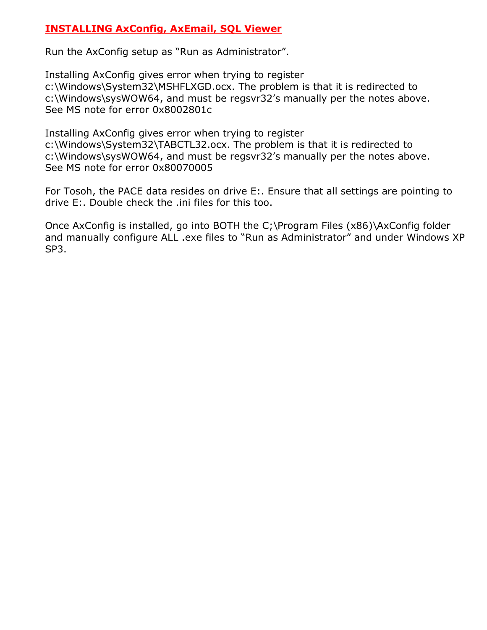### INSTALLING AxConfig, AxEmail, SQL Viewer

Run the AxConfig setup as "Run as Administrator".

Installing AxConfig gives error when trying to register c:\Windows\System32\MSHFLXGD.ocx. The problem is that it is redirected to c:\Windows\sysWOW64, and must be regsvr32's manually per the notes above. See MS note for error 0x8002801c

Installing AxConfig gives error when trying to register c:\Windows\System32\TABCTL32.ocx. The problem is that it is redirected to c:\Windows\sysWOW64, and must be regsvr32's manually per the notes above. See MS note for error 0x80070005

For Tosoh, the PACE data resides on drive E:. Ensure that all settings are pointing to drive E:. Double check the .ini files for this too.

Once AxConfig is installed, go into BOTH the C;\Program Files (x86)\AxConfig folder and manually configure ALL .exe files to "Run as Administrator" and under Windows XP SP3.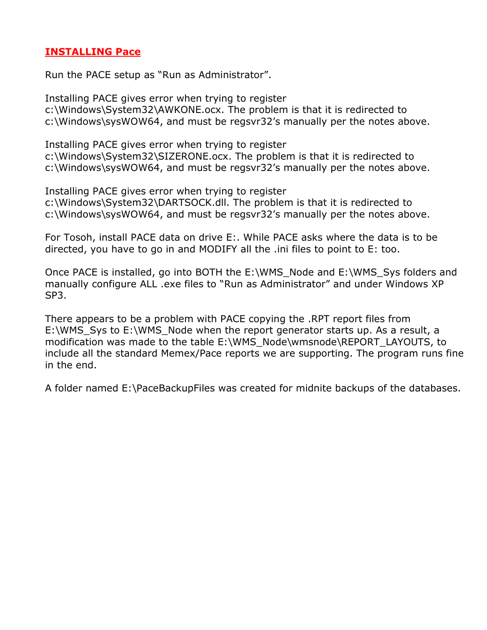### INSTALLING Pace

Run the PACE setup as "Run as Administrator".

Installing PACE gives error when trying to register c:\Windows\System32\AWKONE.ocx. The problem is that it is redirected to c:\Windows\sysWOW64, and must be regsvr32's manually per the notes above.

Installing PACE gives error when trying to register c:\Windows\System32\SIZERONE.ocx. The problem is that it is redirected to c:\Windows\sysWOW64, and must be regsvr32's manually per the notes above.

Installing PACE gives error when trying to register c:\Windows\System32\DARTSOCK.dll. The problem is that it is redirected to c:\Windows\sysWOW64, and must be regsvr32's manually per the notes above.

For Tosoh, install PACE data on drive E:. While PACE asks where the data is to be directed, you have to go in and MODIFY all the .ini files to point to E: too.

Once PACE is installed, go into BOTH the E:\WMS\_Node and E:\WMS\_Sys folders and manually configure ALL .exe files to "Run as Administrator" and under Windows XP SP3.

There appears to be a problem with PACE copying the .RPT report files from E:\WMS Sys to E:\WMS Node when the report generator starts up. As a result, a modification was made to the table E:\WMS\_Node\wmsnode\REPORT\_LAYOUTS, to include all the standard Memex/Pace reports we are supporting. The program runs fine in the end.

A folder named E:\PaceBackupFiles was created for midnite backups of the databases.